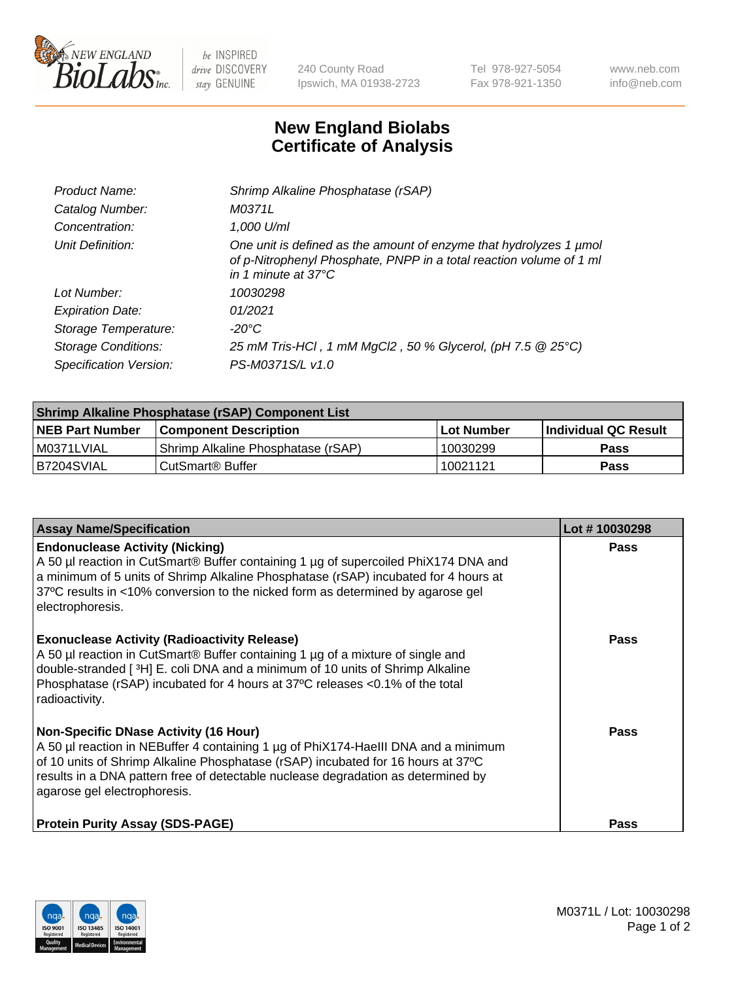

 $be$  INSPIRED drive DISCOVERY stay GENUINE

240 County Road Ipswich, MA 01938-2723 Tel 978-927-5054 Fax 978-921-1350 www.neb.com info@neb.com

## **New England Biolabs Certificate of Analysis**

| Product Name:           | Shrimp Alkaline Phosphatase (rSAP)                                                                                                                                         |
|-------------------------|----------------------------------------------------------------------------------------------------------------------------------------------------------------------------|
| Catalog Number:         | M0371L                                                                                                                                                                     |
| Concentration:          | 1,000 U/ml                                                                                                                                                                 |
| Unit Definition:        | One unit is defined as the amount of enzyme that hydrolyzes 1 µmol<br>of p-Nitrophenyl Phosphate, PNPP in a total reaction volume of 1 ml<br>in 1 minute at $37^{\circ}$ C |
| Lot Number:             | 10030298                                                                                                                                                                   |
| <b>Expiration Date:</b> | 01/2021                                                                                                                                                                    |
| Storage Temperature:    | $-20^{\circ}$ C                                                                                                                                                            |
| Storage Conditions:     | 25 mM Tris-HCl, 1 mM MgCl2, 50 % Glycerol, (pH 7.5 @ 25°C)                                                                                                                 |
| Specification Version:  | PS-M0371S/L v1.0                                                                                                                                                           |

| Shrimp Alkaline Phosphatase (rSAP) Component List |                                    |             |                      |  |  |
|---------------------------------------------------|------------------------------------|-------------|----------------------|--|--|
| <b>NEB Part Number</b>                            | <b>Component Description</b>       | ∣Lot Number | Individual QC Result |  |  |
| I M0371LVIAL                                      | Shrimp Alkaline Phosphatase (rSAP) | 10030299    | Pass                 |  |  |
| B7204SVIAL                                        | l CutSmart® Buffer                 | 10021121    | Pass                 |  |  |

| <b>Assay Name/Specification</b>                                                                                                                                                                                                                                                                                                             | Lot #10030298 |
|---------------------------------------------------------------------------------------------------------------------------------------------------------------------------------------------------------------------------------------------------------------------------------------------------------------------------------------------|---------------|
| <b>Endonuclease Activity (Nicking)</b><br>A 50 µl reaction in CutSmart® Buffer containing 1 µg of supercoiled PhiX174 DNA and<br>a minimum of 5 units of Shrimp Alkaline Phosphatase (rSAP) incubated for 4 hours at<br>37°C results in <10% conversion to the nicked form as determined by agarose gel<br>electrophoresis.                 | <b>Pass</b>   |
| <b>Exonuclease Activity (Radioactivity Release)</b><br>A 50 µl reaction in CutSmart® Buffer containing 1 µg of a mixture of single and<br>double-stranded [3H] E. coli DNA and a minimum of 10 units of Shrimp Alkaline<br>Phosphatase (rSAP) incubated for 4 hours at 37°C releases <0.1% of the total<br>radioactivity.                   | <b>Pass</b>   |
| <b>Non-Specific DNase Activity (16 Hour)</b><br>A 50 µl reaction in NEBuffer 4 containing 1 µg of PhiX174-HaellI DNA and a minimum<br>of 10 units of Shrimp Alkaline Phosphatase (rSAP) incubated for 16 hours at 37°C<br>results in a DNA pattern free of detectable nuclease degradation as determined by<br>agarose gel electrophoresis. | Pass          |
| <b>Protein Purity Assay (SDS-PAGE)</b>                                                                                                                                                                                                                                                                                                      | <b>Pass</b>   |